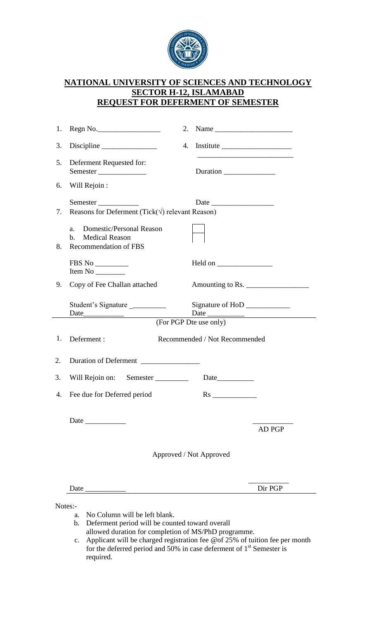

## **NATIONAL UNIVERSITY OF SCIENCES AND TECHNOLOGY SECTOR H-12, ISLAMABAD REQUEST FOR DEFERMENT OF SEMESTER**

|    | 1. Regn No.                                                                           |  | 2. Name $\frac{1}{\sqrt{1-\frac{1}{2}}}\left\{\cos \frac{2\pi}{3} + \sin \frac{2\pi}{3} + \sin \frac{2\pi}{3} + \sin \frac{2\pi}{3} + \sin \frac{2\pi}{3} + \sin \frac{2\pi}{3} + \sin \frac{2\pi}{3} + \sin \frac{2\pi}{3} + \sin \frac{2\pi}{3} + \sin \frac{2\pi}{3} + \sin \frac{2\pi}{3} + \sin \frac{2\pi}{3} + \sin \frac{2\pi}{3} + \sin \frac{2\pi}{3} + \sin \frac{2\pi}{3} + \sin \frac{2\pi}{3} + \$ |         |  |
|----|---------------------------------------------------------------------------------------|--|------------------------------------------------------------------------------------------------------------------------------------------------------------------------------------------------------------------------------------------------------------------------------------------------------------------------------------------------------------------------------------------------------------------|---------|--|
| 3. |                                                                                       |  | 4. Institute                                                                                                                                                                                                                                                                                                                                                                                                     |         |  |
| 5. | Deferment Requested for:<br>Semester                                                  |  | <u> 1989 - Johann Harry Harry Harry Harry Harry Harry Harry Harry Harry Harry Harry Harry Harry Harry Harry Harry</u><br>Duration                                                                                                                                                                                                                                                                                |         |  |
|    | 6. Will Rejoin :                                                                      |  |                                                                                                                                                                                                                                                                                                                                                                                                                  |         |  |
| 7. | Semester<br>Reasons for Deferment (Tick( $\sqrt{ }$ ) relevant Reason)                |  |                                                                                                                                                                                                                                                                                                                                                                                                                  |         |  |
| 8. | Domestic/Personal Reason<br>$a_{\cdot}$<br>b. Medical Reason<br>Recommendation of FBS |  |                                                                                                                                                                                                                                                                                                                                                                                                                  |         |  |
|    | $\rm FBS$ No $\_\_\_\_\_\_\_\_$<br>Item No $\_\_\_\_\_\_\_\_\_\_\_\_\_$               |  |                                                                                                                                                                                                                                                                                                                                                                                                                  |         |  |
| 9. | Copy of Fee Challan attached                                                          |  | Amounting to Rs.                                                                                                                                                                                                                                                                                                                                                                                                 |         |  |
|    | Student's Signature                                                                   |  | Signature of HoD _____________                                                                                                                                                                                                                                                                                                                                                                                   |         |  |
|    |                                                                                       |  |                                                                                                                                                                                                                                                                                                                                                                                                                  |         |  |
| 1. | Deferment:                                                                            |  | Recommended / Not Recommended                                                                                                                                                                                                                                                                                                                                                                                    |         |  |
| 2. | Duration of Deferment                                                                 |  |                                                                                                                                                                                                                                                                                                                                                                                                                  |         |  |
| 3. | Will Rejoin on: Semester                                                              |  |                                                                                                                                                                                                                                                                                                                                                                                                                  |         |  |
|    | 4. Fee due for Deferred period                                                        |  |                                                                                                                                                                                                                                                                                                                                                                                                                  |         |  |
|    |                                                                                       |  |                                                                                                                                                                                                                                                                                                                                                                                                                  | AD PGP  |  |
|    | Approved / Not Approved                                                               |  |                                                                                                                                                                                                                                                                                                                                                                                                                  |         |  |
|    | Date $\overline{\phantom{a}}$                                                         |  |                                                                                                                                                                                                                                                                                                                                                                                                                  | Dir PGP |  |
|    | Notes:-<br>No Column will be left blank                                               |  |                                                                                                                                                                                                                                                                                                                                                                                                                  |         |  |

- a. No Column will be left blank.
- b. Deferment period will be counted toward overall
- allowed duration for completion of MS/PhD programme. c. Applicant will be charged registration fee @of 25% of tuition fee per month for the deferred period and  $50\%$  in case deferment of  $1<sup>st</sup>$  Semester is required.